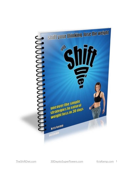

[TheShiftDiet.com](http://TheShiftDiet.com) [30DaystoSuperPowers.com](http://30DaystoSuperPowers.com) [KrisKemp.com](http://KrisKemp.com) 1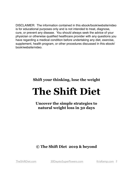DISCLAIMER: The information contained in this ebook/book/website/video is for educational purposes only and is not intended to treat, diagnose, cure, or prevent any disease. You should always seek the advice of your physician or otherwise qualified healthcare provider with any questions you have regarding a medical condition before undertaking any diet, exercise, supplement, health program, or other procedures discussed in this ebook/ book/website/video.

**Shift your thinking, lose the weight**

# **The Shift Diet**

**Uncover the simple strategies to natural weight loss in 30 days** 

**© The Shift Diet 2019 & beyond** 

[TheShiftDiet.com](http://TheShiftDiet.com) [30DaystoSuperPowers.com](http://30DaystoSuperPowers.com) [KrisKemp.com](http://KrisKemp.com) 2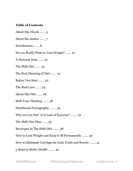## **Table of Contents**

About this Ebook ……. 5

About the Author ……. 7

Introduction ……. 8

Do you Really Want to Lose Weight? ……. 10

A Personal Note ……. 12

The Shift Diet ……. 13

The Real Meaning of Diet ……. 19

Before You Start ……. 22

The Real Cure ……. 24

About this Diet ……. 26

Shift Your Thinking ……. 28

Nutritional Pornography …….. 29

Why are you Fat? Is it Lack of Exercise? …….. 32

The Shift Diet Plan ……. 33

Beverages in The Shift Diet …….. 38

How to Lose Weight and Keep it off Permanently …….. 40

How to Eliminate Cravings for Junk Foods and Sweets ........ 41

5 Steps to Better Health ........ 42

[TheShiftDiet.com](http://TheShiftDiet.com) [30DaystoSuperPowers.com](http://30DaystoSuperPowers.com) [KrisKemp.com](http://KrisKemp.com) 3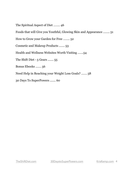The Spiritual Aspect of Diet …….. 46

Foods that will Give you Youthful, Glowing Skin and Appearance …….. 51

How to Grow your Garden for Free …….. 52

Cosmetic and Makeup Products ……. 53

Health and Wellness Websites Worth Visiting …….54

The Shift Diet - 5 Gears ....... 55

Bonus Ebooks ……. 56

Need Help in Reaching your Weight Loss Goals? ……. 58

30 Days To SuperPowers ....... 60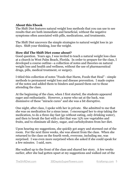## **About this Ebook**

The Shift Diet features natural weight loss methods that you can use to see results that are both immediate and beneficial, without the negative symptoms often associated with pills, medications, and treatments.

The Shift Diet uncovers the simple strategies to natural weight loss in 30 days. Shift your thinking, lose the weight.

## **How did The Shift Diet come about?**

Good question. Years ago, I was invited to teach a natural weight loss class at a church in West Palm Beach, Florida. In order to prepare for the class, I developed a course outline—a collection of notes and theories on natural weight loss and health and wellness, without the use of pharmaceutical drugs, pills, medical treatment, or surgery.

I titled this collection of notes "Foods that Harm, Foods that Heal" - simple methods to permanent weight loss and disease prevention. I made copies of the notes and added them to binders and passed them out to those attending the class.

At the beginning of the class, when I first started, the students appeared eager and enthusiastic. However, a nurse who sat at the back, was dismissive of these "miracle cures" and she was a bit disruptive.

One night, after class, I spoke with her in private. She admitted to me that she was on medication for a sinus issue. I encouraged her to stop taking the medication, to do a three day fast (go without eating, only drinking water), and then to break the fast with a diet that was 75% raw vegetables and fruits, and to eliminate all dairy, sugar, and carbohydrates from her diet.

Upon hearing my suggestions, she quickly got angry and stormed out of the room. For the next three weeks, she was absent from the class. When she returned to the class on the fourth week, everyone, including me, was surprised. I was even more surprised when she asked if she could speak for a few minutes. I said, sure.

She walked up to the front of the class and shared her story. A few weeks earlier, after she had gotten upset at my suggestions and walked out of the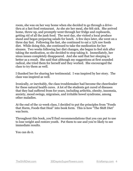room, she was on her way home when she decided to go through a drivethru at a fast food restaurant. As she ate her meal, she felt sick. She arrived home, threw up, and promptly went through her fridge and cupboards, getting rid of all the junk food. The next day, she visited a local produce stand and began preparing salads for lunch. A few days later, she went on a three day fast. Following the fast, she continued to eat a 75% raw foods diet. While doing this, she continued to take the medication for her sinuses. Two weeks following her diet changes, she began to feel sick after taking the medication, so she decided to stop taking it. Immediately, her sinus issues completely disappeared. And she said that her sleeping is better as a result. She said that although my suggestions at first sounded radical, she tried them for herself and they worked. She encouraged the class to try them as well.

I thanked her for sharing her testimonial. I was inspired by her story. The class was inspired as well.

Ironically, or inevitably, the class troublemaker had become the cheerleader for these natural health cures. A lot of the students got cured of diseases that they had suffered from for years, including arthritis, obesity, insomnia, anxiety, mood swings, migraines, and irritable bowel syndrome, among other maladies.

At the end of the 12-week class, I decided to put the principles from "Foods that Harm, Foods that Heal" into book form. This is how "The Shift Diet" was born.

Throughout this book, you'll find recommendations that you can put to use to lose weight and restore youth. Put them to use and you're likely to see immediate results.

You can do it.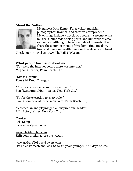#### **About the Author**



My name is Kris Kemp. I'm a writer, musician, photographer, traveler, and creative entrepreneur. My writings include a novel, 20 ebooks, 5 screenplays, 2 musicals, hundreds of blog posts, and hundreds of email sequences. Although I have a variety of interests, they share the common theme of freedom—time freedom, financial freedom, health freedom, travel/location freedom.

Check out my novel at: [www.TheRailsNYC.com](http://www.TheRailsNYC.com)

#### **What people have said about me**

"You were the internet before there was internet." Meghan (Realtor, Palm Beach, FL)

"Kris is a genius" Tony (Ad Exec, Chicago)

"The most creative person I've ever met." Ben (Restaurant Mgmt, Actor, New York City)

"You're the exception to every rule." Ryan (Commercial Fisherman, West Palm Beach, FL)

"A comedian and playwright, an inspirational leader" J.T. (Actor, Writer, New York City)

#### **Contact**

Kris Kemp bicycledays@yahoo.com

[www.TheShiftDiet.com](http://www.TheShiftDiet.com) Shift your thinking, lose the weight

[www.30DaysToSuperPowers.com](http://www.30DaysToSuperPowers.com) Get a flat stomach and look 10-to-20 years younger in 10 days or less

[TheShiftDiet.com](http://TheShiftDiet.com) [30DaystoSuperPowers.com](http://30DaystoSuperPowers.com) [KrisKemp.com](http://KrisKemp.com) 7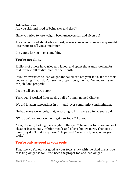## **Introduction**

Are you sick and tired of being sick and tired?

Have you tried to lose weight, been unsuccessful, and given up?

Are you confused about who to trust, as everyone who promises easy weight loss wants to sell you something?

I'm gonna let you in on something.

## **You're not alone.**

Millions of others have tried and failed, and spent thousands looking for that miracle pill or diet-plan-of-the-month.

If you've ever tried to lose weight and failed, it's not your fault. It's the tools you're using. If you don't have the proper tools, then you're not gonna get the job done properly.

Let me tell you a true story.

Years ago, I worked for a stocky, bull-of-a-man named Charley.

We did kitchen renovations in a 55-and-over community condominium.

He had some worn tools, that, according to him, were up to 20 years old.

"Why don't you replace them, get new tools?" I asked.

"Son," he said, looking me straight in the eye. "The newer tools are made of cheaper ingredients, inferior metals and alloys, hollow parts. The tools I have they don't make anymore." He paused. "You're only as good as your tools."

## **You're only as good as your tools**

That line, you're only as good as your tools, stuck with me. And this is true of losing weight as well. You need the proper tools to lose weight.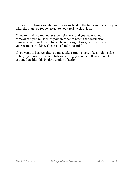In the case of losing weight, and restoring health, the tools are the steps you take, the plan you follow, to get to your goal--weight loss.

If you're driving a manual transmission car, and you have to get somewhere, you must shift gears in order to reach that destination. Similarly, in order for you to reach your weight loss goal, you must shift your gears in thinking. This is absolutely essential.

If you want to lose weight, you must take certain steps. Like anything else in life, if you want to accomplish something, you must follow a plan of action. Consider this book your plan of action.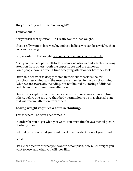## **Do you really want to lose weight?**

Think about it.

Ask yourself that question: Do I really want to lose weight?

If you really want to lose weight, and you believe you can lose weight, then you can lose weight.

But, in order to lose weight, you must believe you can lose weight.

Also, you must adopt the attitude of someone who is comfortable receiving attention from others--both the opposite sex and the same sex. Some people have a difficult time accepting attention for how they look.

Often this behavior is deeply rooted in their subconscious (below consciousness) mind, and the results are manifest in the conscious mind (what we are aware of), including, but not limited to, storing additional body fat in order to minimize attention.

One must accept the fact that he or she is worth receiving attention from others, before one can give their body permission to be in a physical state that will receive attention from others.

## **Losing weight requires a shift in thinking.**

This is where The Shift Diet comes in.

In order for you to get what you want, you must first have a mental picture of what you want.

Let that picture of what you want develop in the darkroom of your mind.

See it.

Get a clear picture of what you want to accomplish, how much weight you want to lose, and what you will look like.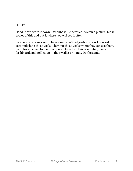#### Got it?

Good. Now, write it down. Describe it. Be detailed. Sketch a picture. Make copies of this and put it where you will see it often.

People who are successful have clearly defined goals and work toward accomplishing those goals. They put those goals where they can see them, on notes attached to their computer, taped to their computer, the car dashboard, and folded up in their wallet or purse. Do the same.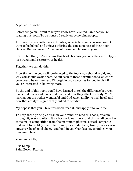## **A personal note**

Before we go on, I want to let you know how I excited I am that you're reading this book. To be honest, I really enjoy helping people.

At times this has gotten me in trouble, especially when a person doesn't want to be helped and enjoys suffering the consequences of their poor choices. But you wouldn't be one of those people, would you?

I'm excited that you're reading this book, because you're letting me help you lose weight and restore your health.

Together, we can do this.

A portion of the book will be devoted to the foods you should avoid, and why you should avoid them. About each of these harmful foods, an entire book could be written, and I'll be giving you websites for you to visit if you're interested in knowing more.

By the end of this book, you'll have learned to tell the difference between foods that harm and foods that heal, and how they affect the body. You'll learn about the bodies wonderful and God-given ability to heal itself, and how that ability is significantly linked to our diet.

My hope is that you'll take this book, read it, and apply it to your life.

To keep these principles fresh in your mind, re-read this book, or skim through it, every so often. It's a big world out there, and this small book has some major competition from the mammoth pharmaceutical companies that want to profit (either intentionally or accidentally) from your sickness. However, be of good cheer. You hold in your hands a key to unlock your maximum health.

Yours in health,

Kris Kemp Palm Beach, Florida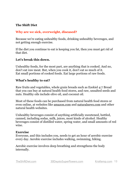## **The Shift Diet**

## **Why are we sick, overweight, diseased?**

Because we're eating unhealthy foods, drinking unhealthy beverages, and not getting enough exercise.

If the diet you continue to eat is keeping you fat, then you must get rid of that diet.

#### **Let's break this down.**

Unhealthy foods, for the most part, are anything that is cooked. And no, don't eat raw meat. But, when you cook it, don't eat so much of it. Eat small portions of cooked foods. Eat large portions of raw foods.

#### **What's healthy to eat?**

Raw fruits and vegetables, whole grain breads such as Ezekiel 4:7 Bread that you can buy at natural health food stores, and raw, unsalted seeds and nuts. Healthy oils include olive oil, and coconut oil.

Most of these foods can be purchased from natural health food stores or even online, at websites like [amazon.com](http://amazon.com) and [naturalnews.com](http://naturalnews.com) and other natural health websites.

Unhealthy beverages consist of anything artificially sweetened, bottled, canned, including sodas, milk, juices, most kinds of alcohol. Healthy beverages consist of distilled water, spring water, and small amounts of red wine.

#### **Exercise**

Everyone, and this includes you, needs to get an hour of aerobic exercise every day. Aerobic exercise includes walking, swimming, hiking.

Aerobic exercise involves deep breathing and strengthens the body internally.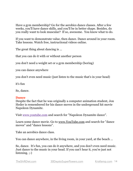Have a gym membership? Go for the aerobics dance classes. After a few weeks, you'll have dance skills, and you'll be in better shape. Besides, do you really want to look muscular? If so, awesome. You know what to do.

If you want to demonstrate value, then dance. Dance around in your room. Take lessons. Watch free, instructional videos online.

The great thing about dancing is ...

that you can do it with or without another person

you don't need a weight set or a gym membership (boring)

you can dance anywhere

you don't even need music (just listen to the music that's in your head)

it's fun

So, dance.

## **Dance**

Despite the fact that he was originally a computer animation student, Jon Heder is remembered for his dance moves in the underground hit movie Napoleon Dynamite.

Visit [www.youtube.com](https://www.youtube.com/) and search for "Napoleon Dynamite dance".

Learn some dance movie. Go to [www.YouTube.com](http://www.YouTube.com) and search for "dance moves" and "dance lessons".

Take an aerobics dance class.

You can dance anywhere, in the living room, in your yard, at the beach ...

So, dance. It's fun, you can do it anywhere, and you don't even need music. Just dance to the music in your head. If you can't hear it, you're just not listening. ;-)

[TheShiftDiet.com](http://TheShiftDiet.com) [30DaystoSuperPowers.com](http://30DaystoSuperPowers.com) [KrisKemp.com](http://KrisKemp.com) 14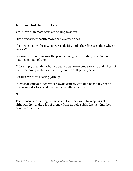## **Is it true that diet affects health?**

Yes. More than most of us are willing to admit.

Diet affects your health more than exercise does.

If a diet can cure obesity, cancer, arthritis, and other diseases, then why are we sick?

Because we're not making the proper changes in our diet, or we're not making enough of them.

If, by simply changing what we eat, we can overcome sickness and a host of life threatening maladies, then why are we still getting sick?

Because we're still eating garbage.

If, by changing our diet, we can avoid cancer, wouldn't hospitals, health magazines, doctors, and the media be telling us this?

No.

Their reasons for telling us this is not that they want to keep us sick, although they make a lot of money from us being sick. It's just that they don't know either.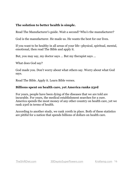## **The solution to better health is simple.**

Read The Manufacturer's guide. Wait a second? Who's the manufacturer?

God is the manufacturer. He made us. He wants the best for our lives.

If you want to be healthy in all areas of your life--physical, spiritual, mental, emotional, then read The Bible and apply it.

But, you may say, my doctor says ... But my therapist says ...

What does God say?

God made you. Don't worry about what others say. Worry about what God says.

Read The Bible. Apply it. Learn Bible verses.

## **Billions spent on health care, yet America ranks 23rd**

For years, people have been dying of the diseases that we are told are incurable. For years, the medical establishment searches for a cure. America spends the most money of any other country on health care, yet we rank 23rd in terms of health.

According to another study, we rank 100th in place. Both of these statistics are pitiful for a nation that spends billions of dollars on health care.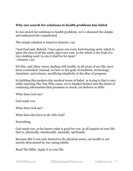## **Why our search for solutions to health problems has failed**

In our search for solutions to health problems, we've shunned the simple and embraced the complicated.

The simple solution is found in Genesis 1:29.

"And God said, Behold, I have given you every herb bearing seed, which is upon the face of all the earth, and every tree, in the which is the fruit of a tree yielding seed; to you it shall be for meat." - Genesis 1:29

Yet this, and other verses dealing with health, in all areas of our life, have been overlooked. Instead, we bow to the gods of medicine, technology, chemistry, and science, sacrificing simplicity at the altar of progress.

In building this modern day medical tower of babel, in trying to find a cure while rejecting The One Who cures, we've headed further into the forest of confusing information that promises so much, yet delivers so little.

What does God say?

God made you.

What does God say?

What does diet have to do with God?

Everything.

God made you, so he knows what is good for you, in all aspects of your life, that is, physically, emotionally, mentally, spiritually.

Because diet is not only limited to the physical arena, our health is not merely determined by our eating habits.

Read The Bible. Apply it to your life.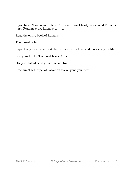If you haven't given your life to The Lord Jesus Christ, please read Romans 3:23, Romans 6:23, Romans 10:9-10.

Read the entire book of Romans.

Then, read John.

Repent of your sins and ask Jesus Christ to be Lord and Savior of your life.

Live your life for The Lord Jesus Christ.

Use your talents and gifts to serve Him.

Proclaim The Gospel of Salvation to everyone you meet.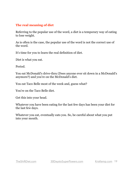## **The real meaning of diet**

Referring to the popular use of the word, a diet is a temporary way of eating to lose weight.

As is often is the case, the popular use of the word is not the correct use of the word.

It's time for you to learn the real definition of diet.

Diet is what you eat.

Period.

You eat McDonald's drive-thru (Does anyone ever sit down in a McDonald's anymore?) and you're on the McDonald's diet.

You eat Taco Belle most of the week and, guess what?

You're on the Taco Belle diet.

Get this into your head.

Whatever you have been eating for the last few days has been your diet for the last few days.

Whatever you eat, eventually eats you. So, be careful about what you put into your mouth.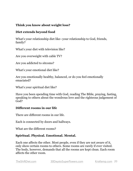## **Think you know about weight loss?**

## **Diet extends beyond food**

What's your relationship diet like--your relationship to God, friends, family?

What's your diet with television like?

Are you overweight with cable TV?

Are you addicted to sitcoms?

What's your emotional diet like?

Are you emotionally healthy, balanced, or do you feel emotionally emaciated?

What's your spiritual diet like?

Have you been spending time with God, reading The Bible, praying, fasting, speaking to others about the wondrous love and the righteous judgement of God?

#### **Different rooms in our life**

There are different rooms in our life.

Each is connected by doors and hallways.

What are the different rooms?

## **Spiritual. Physical. Emotional. Mental.**

Each one affects the other. Most people, even if they are not aware of it, only show certain rooms to others. Some rooms are rarely if ever visited. The body, however, demands that all the rooms are kept clean. Each room affects the other room.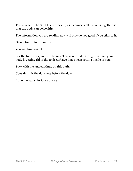This is where The Shift Diet comes in, as it connects all 4 rooms together so that the body can be healthy.

The information you are reading now will only do you good if you stick to it.

Give it two to four months.

You will lose weight.

For the first week, you will be sick. This is normal. During this time, your body is getting rid of the toxic garbage that's been rotting inside of you.

Stick with me and continue on this path.

Consider this the darkness before the dawn.

But oh, what a glorious sunrise ...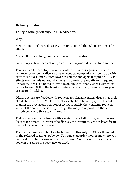#### **Before you start**

To begin with, get off any and all medication.

Why?

Medications don't cure diseases, they only control them, but creating side effects.

A side effect is a change in form or location of the disease.

So, when you take medication, you are trading one side effect for another.

That's why all those stupid commercials for "restless legs syndrome" or whatever other bogus disease pharmaceutical companies can come up with state those disclaimers, often lower in volume and spoken rapid fire ... "Side effects may include nausea, dizziness, insomnia, dry mouth and frequent urination. Please do not take if you're on blood thinners. Check with your doctor to see if (fill in the blank) is safe to take with any prescriptions you are currently taking."

Often, doctors are flooded with requests for pharmaceutical drugs that their clients have seen on TV. Doctors, obviously, have bills to pay, so this puts them in the precarious position of trying to satisfy their patients requests while at the same time sorting through the niagara of products that are introduced every three to six months.

Today's doctors treat disease with a system called allopathy, which means disease treatment. They treat the disease, the symptom, yet rarely eradicate the root cause of that disease.

There are a number of books which touch on this subject. Check them out in the referred reading list below. You can even order them from where you are right now, by clicking on the book image. A new page will open, where you can purchase the book new or used.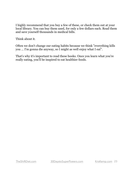I highly recommend that you buy a few of these, or check them out at your local library. You can buy them used, for only a few dollars each. Read them and save yourself thousands in medical bills.

Think about it.

Often we don't change our eating habits because we think "everything kills you ... I'm gonna die anyway, so I might as well enjoy what I eat".

That's why it's important to read these books. Once you learn what you're really eating, you'll be inspired to eat healthier foods.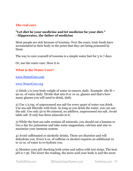## **The real cure**

## **"Let diet be your medicine and let medicine be your diet." - Hippocrates, the father of medicine**

Most people are sick because of toxemia. Over the years, toxic foods have accumulated in their body to the point that they are being poisoned by them.

The way to cure yourself of toxemia is a simple water fast for 3 to 7 days.

Or, use the water cure. Here it is:

## **What is the Water Cure?**

[www.WaterCure.com](http://www.WaterCure.com)

#### [www.WaterCure.org](http://www.WaterCure.org)

1) Drink 1/2 your body weight of water in ounces, daily. Example: 180 lb = 90 oz. of water daily. Divide that into 8 or 10 oz. glasses and that's how many glasses you will need to drink, daily.

2) Use 1/4 tsp. of unprocessed sea salt for every quart of water you drink. Use sea salt liberally with food. As long as you drink the water, you can use the salt. Use only 50 to 80 mineral, no additive, unprocessed sea salt. Avoid table salt. It only has three minerals in it.

3) While the best sea salts contain all minerals, you should eat a banana or two a day for potassium and take some magnesium, calcium and zinc to maximize your immune system.

4) Avoid caffeinated or alcoholic drinks. These are diuretics and will dehydrate you. Every 6 oz. of caffeine or alcohol requires an additional 10 to 12 oz. of water to re-hydrate you.

5) Monitor your pH checking both urine and saliva with test strips. The best pH is 7.36. The lower the reading, the more acid your body is and the more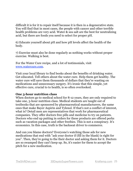difficult it is for it to repair itself because it is then in a degenerative state. You will find that in most cases, the people with cancer and other terrible health problems are very acid. Water & sea salt are the best for neutralizing acid, but there are foods you need to select for proper pH.

6) Educate yourself about pH and how pH levels affect the health of the body.

7) Exercise must also be done regularly as nothing works without proper exercise. Walking is best.

For the Water Cure recipe, and a lot of testimonials, visit [www.watercure.com](http://www.watercure.com/).

Visit your local library to find books about the benefits of drinking water. Get educated. Tell others about the water cure. Help them get healthy. The water cure will save them thousands of dollars that they're wasting on medications and unnecessary surgery. It's ironic that this simple, yet effective cure, crucial to to health, is so often overlooked.

## **One 3-hour nutrition class**

When doctors go to medical school for 8-12 years, they are only required to take one, 3-hour nutrition class. Medical students are taught out of textbooks that are sponsored by pharmaceutical manufacturers, the same ones that make Bayer Aspirin and Tylenol. If that's not a conflict of interest, what is? Detail men are representatives that work for pharmaceutical companies. They offer doctors free pills and medicine to try on patients. Doctors who end up putting in orders for these products are offered perks such as vacation packages and other freebies. This is not a conspiracy. It's economics. In this case, truth is the backseat driver to commerce.

And can you blame doctors? Everyone's watching those ads for new medications that end with "ask your doctor if (fill in the blank) is right for you". Then, they're going to the their doctor and asking them for it. Doctors are so swamped they can't keep up. So, it's easier for them to accept the pitch for a new medication.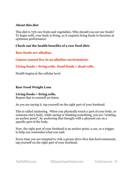## **About this diet**

This diet is 75% raw fruits and vegetables. Why should you eat raw foods? To begin with, your body is living, so it requires living foods to function at optimum performance.

## **Check out the health benefits of a raw food diet:**

**Raw foods are alkaline.** 

**Cancer cannot live in an alkaline environment.**

## **Living foods = living cells. Dead foods = dead cells.**

Health begins at the cellular level.

## **Raw Food Weight Loss**

## **Living foods = living cells.**

Repeat that to yourself 20 times.

As you are saying it, tap yourself on the right part of your forehead.

This is called anchoring. When you physically touch a part of your body, or someone else's body, while saying or thinking something, you are "creating an anchor point", by anchoring that thought with a physical cue on a specific part of the body.

Now, the right part of your forehead is an anchor point, a cue, or a trigger, to help you remember what you said.

Every time you are tempted to visit a greasy drive thru fast food restaurant, tap yourself on the right part of your forehead.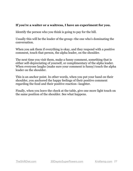## **If you're a waiter or a waitress, I have an experiment for you.**

Identify the person who you think is going to pay for the bill.

Usually this will be the leader of the group--the one who's dominating the conversation.

When you ask them if everything is okay, and they respond with a positive comment, touch that person, the alpha leader, on the shoulder.

The next time you visit them, make a funny comment, something that is either self-depreciating of yourself, or complimentary of the alpha leader. When everyone laughs (make sure your comment is funny) touch the alpha leader on the shoulder.

This is an anchor point. In other words, when you put your hand on their shoulder, you anchored the happy feelings of their positive comment regarding the food and their positive reaction--laughter.

Finally, when you leave the check at the table, give one more light touch on the same position of the shoulder. See what happens.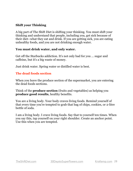## **Shift your Thinking**

A big part of The Shift Diet is shifting your thinking. You must shift your thinking and understand that people, including you, get sick because of their diet--what they eat and drink. If you are getting sick, you are eating unhealthy foods, and you are not drinking enough water.

## **You must drink water, and only water.**

Get off the Starbucks addiction. It's not only bad for you ... sugar and caffeine, but it's a big waste of money.

Just drink water. Spring water or distilled water is best.

## **The dead foods section**

When you leave the produce section of the supermarket, you are entering the dead foods sections.

Think of the **produce section** (fruits and vegetables) as helping you **produce good results**, healthy benefits.

You are a living body. Your body craves living foods. Remind yourself of that every time you're tempted to grab that bag of chips, cookies, or 2-litre bottle of soda.

I am a living body. I crave living foods. Say that to yourself ten times. When you say this, tap yourself on your right shoulder. Create an anchor point. Use this when you are tempted.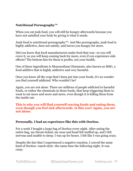## **Nutritional Pornography™**

When you eat junk food, you will still be hungry afterwards because you have not satisfied your body by giving it what it needs.

Junk food is nutritional pornography™. And like pornography, junk food is highly addictive, does not satisfy, and leaves you hungry for more.

Did you know that food manufacturers make food that way--so you will crave it, so you will keep coming back for more, even if you experience side effects? The bottom line for them is profits, not your health.

One of these ingredients is Monosodium Glutamate, also known as MSG, a food additive that is highly addictive and very harmful.

Once you know all the crap that's been put into your foods, it's no wonder you find yourself addicted. Who wouldn't be?

Again, you are not alone. There are millions of people addicted to harmful foods, or rather the chemicals in those foods, that keep triggering them to want to eat more and more and more, even though it is killing them from the inside out.

#### **This is why you will find yourself craving foods and eating them, even though you feel sick afterwards. Is this you? Again, you are not alone.**

#### **Personally, I had an experience like this with Doritos.**

For a week I bought a large bag of Doritos every night. After eating the entire bag, my throat itched, my nose and head felt stuffed up, and I felt nervous and unable to sleep. I was up for hours. I felt like I was going crazy.

Despite the fact that I experienced a negative reaction, I craved the same kind of Doritos--ranch style--the same time the following night. It was crazy.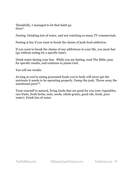Thankfully, I managed to let that habit go. How?

Fasting. Drinking lots of water, and not watching so many TV commercials.

Fasting is key if you want to break the chains of junk food addiction.

If you want to break the chains of any addictions in your life, you must fast (go without eating for a specific time).

Drink water during your fast. While you are fasting, read The Bible, pray for specific results, and continue to praise God.

You will see results.

As long as you're eating processed foods you're body will never get the nutrients it needs to be operating properly. Dump the junk. Throw away the nutritional porn™.

Treat yourself to natural, living foods that are good for you (raw vegetables, raw fruits, fresh herbs, nuts, seeds, whole grains, good oils, fresh, pure water). Drink lots of water.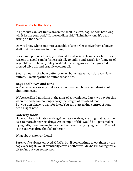## **From a box to the body**

If a product can last five years on the shelf in a can, bag, or box, how long will it last in your body? Is it even digestible? Think how long it's been sitting on the shelf?

Do you know what's put into vegetable oils in order to give them a longer shelf life? Deodorizers for one thing.

For an indepth look at why you should avoid vegetable oil, click here. For reasons to avoid canola (rapeseed) oil, go online and search for "dangers of vegetable oil". The only oils you should be using are extra virgin, cold pressed olive oil, and organic coconut oil.

Small amounts of whole butter or okay, but whatever you do, avoid fake butters, like margarine or butter substitutes.

#### **Bags and boxes and cans**

We've become a society that eats out of bags and boxes, and drinks out of aluminum cans.

We've sacrificed nutrition at the altar of convenience. Later, we pay for this when the body can no longer carry the weight of this dead food. But you don't have to wait for later. You can start taking control of your health right now.

#### **Gateway foods**

Have you heard of gateway drugs? A gateway drug is a drug that leads the user to more dangerous drugs. An example of this would be a pot smoker trying pills, then moving to cocaine, then eventually trying heroin. The pot is the gateway drug that led to heroin.

What about gateway foods?

Sure, you've always enjoyed M&M's, but if you continue to eat them by the bag every night, you'll eventually crave another fix. Maybe I'm taking this a bit to far, but you get my point.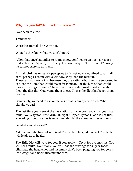## **Why are you fat? Is it lack of exercise?**

Ever been to a zoo?

Think back.

Were the animals fat? Why not?

What do they know that we don't know?

A lion that once had miles to roam is now confined to an open air space that's about a 1/4 acre, or worse yet, a cage. Why isn't the lion fat? Surely, he cannot exercise as much.

A small bird has miles of open space to fly, yet now is confined to a small area, perhaps a room with a window. Why isn't the bird fat? These animals are not fat because they are eating what they are supposed to eat. For the lion, that would mean fresh meat. For the birds, that would mean little bugs or seeds. These creatures are designed to eat a specific diet--the diet that God wants them to eat. This is the diet that keeps them healthy.

Conversely, we need to ask ourselves, what is our specific diet? What should we eat?

The last time you were at the gas station, did you pour soda into your gas tank? No. Why not? (You drink it, right? Hopefully not.) Soda is not fuel. You add gas because gas is recommended by the manufacturer of the car.

So what should we eat?

Ask the manufacturer--God. Read The Bible. The guidelines of The Bible will leads us to health.

The Shift Diet will work for you, if you apply it. Try it for two months. You will see results. Eventually, you will lose the cravings for sugary foods, eliminate the headaches and insomnia that's been plaguing you for years, lose weight and normalize metabolism.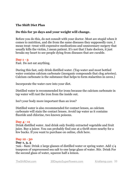## **The Shift Diet Plan**

## **Do this for 30 days and your weight will change.**

Before you do this, do not consult with your doctor. Most are stupid when it comes to nutrition, and die from the same diseases they supposedly cure, I mean treat--treat with expensive medications and unnecessary surgery that usually kills the victim, I mean patient. It's not that I hate doctors, it just breaks my heart to see people dying from diseases that are curable.

#### **Day 1 - 3**

Fast. Do not eat anything.

During this fast, only drink distilled water. (Tap water and most bottled water contains calcium carbonate (inorganic compounds that clog arteries). Calcium carbonate is the substance that helps to form stalactites in caves.)

Incorporate the water cure into your diet.

Distilled water is recommended for irons because the calcium carbonate in tap water will rust the iron from the inside out.

Isn't your body more important than an iron?

Distilled water is also recommended for contact lenses, as calcium carbonate will stain the contact lenses. Avoid tap water as it contains fluoride and chlorine, two known poisons.

#### **Day 4 - 11**

Drink distilled water. And drink only freshly extracted vegetable and fruit juice. Buy a juicer. You can probably find one at a thrift store nearby for a few bucks. If you want to purchase on online, click here.

#### **Day 12 - 30**

#### **Day 1, 3, 5**

7am - 8am: Drink 2 large glasses of distilled water or spring water. Add 1/4 teaspoon of unprocessed sea salt to one large glass of water. Stir. Drink For the second glass of water, squeeze half a lemon.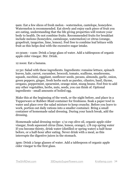9am: Eat a few slices of fresh melon - watermelon, cantelope, honeydew. Watermelon is recommended. Eat slowly and enjoy each piece of fruit you are eating, understanding that the life giving properties will restore your body to health. Do not combine fruits. Recommended fruits for breakfast include melons (honeydew, cantaloupe, watermelon) or citrus (orange, grapefruit, tangerine, lime, lemon). Feel free to combine leaf lettuce with fruit as this helps deal with the excessive sugar intake.

10:30am - 11am: Drink a large glass of water. Add a tablespoon of organic apple cider vinegar. Stir. Drink.

12 noon: Eat a banana.

12:30: Salad with these ingredients. Ingredients: romaine lettuce, spinach leaves, kale, carrot, cucumber, broccoli, tomato, scallions, mushrooms, squash, zucchini, eggplant, sunflower seeds, pecans, almonds, garlic, onion, green peppers, ginger, fresh herbs such as parsley, cilantro, basil, thyme, oregano, peppermint, spearmint, orange mint, mung beans. Feel free to add any other vegetables, herbs, nuts, seeds, you can think of. Optional ingredients - small amounts of boiled egg.

Make this at the beginning of the week, or the night before, and place in a Tupperware or Rubber-Maid container for freshness. Soak a paper towl in water and place over the salad mixture to keep crunchy. Before you leave to work, portion out daily rations into a smaller container. Bring a small container of homemade salad dressing. During your lunch break, add the dressing.

Homemade salad dressing recipe: 1/12 cup olive oil, organic apple cider vinegar, fresh squeezed citrus (lime, lemon, orange), 1/8 cup spring water If you become thirsty, drink water (distilled or spring water) a half-hour before, or a half-hour after eating. Never drink with a meal, as this interrupts the digestive juices in the stomach.

3pm: Drink 2 large glasses of water. Add a tablespoon of organic apple cider vinegar to the first glass.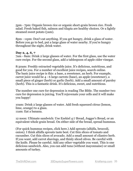5pm - 7pm: Organic brown rice or organic short-grain brown rice. Fresh salad. Fresh baked fish, salmon and tilapia are healthy choices. Or a lightly steamed sweet potato (yam).

8pm - 11pm: Don't eat anything. If you get hungry, drink a glass of water. Before you go to bed, put a large glass of water nearby. If you're hungry throughout the night, drink water.

#### **Day 2, 4, 6, 7**

7am - 8am: Drink 2 large glasses of water. For the first glass, use the water cure recipe. For the second glass, add a tablespoon of apple cider vinegar.

8:30am: Freshly extracted vegetable juice. It's delicious, nutritious, and good for you. For a number of excellent juice recipes, search online. The basic juice recipe is this: a base, a sweetener, an herb. For example, carrot juice would be 4 - 6 large carrots (base), an apple (sweetener), a small piece of ginger (herb) or garlic (herb). Add a small amount of parsley (herb). This is a fantastic drink. It's delicious, sweet, and nutritious.

The number one cure for depression is reading The Bible. The number two cure for depression is juicing. You'll rejuvenate your cells and it will make you happy!

10am: Drink 2 large glasses of water. Add fresh squeezed citrus (lemon, lime, orange) to a glass. 11am: Eat a banana.

12 noon: Ultimate sandwich: Use Ezekiel 4:7 Bread, Jogger's Bread, or an equivalent whole grain bread. On either side of the bread, spread hummus.

(For quick hummus recipes, click here.) Add sprouts (alfalfa, broccoli, onion). I think alfalfa sprouts taste best. Cut thin slices of tomato and cucumber. Cut thin slices of avocado. Add a small amount of cilantro herb. If you want, add carrot shavings, and thinly sliced olives. Be careful with the knife. Please be careful. Add any other vegetable you want. This is one delicious sandwich. Also, you can add tuna (without mayonnaise) or small amounts of turkey.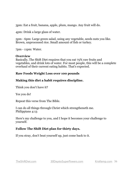3pm: Eat a fruit, banana, apple, plum, mango. Any fruit will do.

4pm: Drink a large glass of water.

5pm - 6pm: Large green salad, using any vegetable, seeds nuts you like. Brown, unprocessed rice. Small amount of fish or turkey.

7pm - 11pm: Water.

#### **Overview**

Basically, The Shift Diet requires that you eat 75% raw fruits and vegetables, and drink lots of water. For most people, this will be a complete overhaul of their current eating habits. That's expected.

#### **Raw Foods Weight Loss over 100 pounds**

## **Making this diet a habit requires discipline.**

Think you don't have it?

Yes you do!

Repeat this verse from The Bible.

I can do all things through Christ which strengtheneth me. Philippians 4:13

Here's my challenge to you, and I hope it becomes your challenge to yourself.

## **Follow The Shift Diet plan for thirty days.**

If you stray, don't beat yourself up, just come back to it.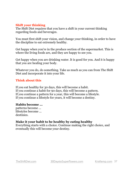## **Shift your thinking**

The Shift Diet requires that you have a shift in your current thinking regarding foods and beverages.

You must first shift your vision, and change your thinking, in order to have the discipline to eat extremely healthy.

Get happy when you're in the produce section of the supermarket. This is where the living foods are, and they are happy to see you.

Get happy when you are drinking water. It is good for you. And it is happy that you are healing your body.

Whatever you do, do something. Take as much as you can from The Shift Diet and incorporate it into your life.

## **Think about this**

If you eat healthy for 30 days, this will become a habit. If you continue a habit for 90 days, this will become a pattern. If you continue a pattern for a year, this will become a lifestyle. If you continue a lifestyle for years, it will become a destiny.

#### **Habits become ...**

patterns become ... lifestyles become ... destinies.

#### **Make it your habit to be healthy by eating healthy**

Everything starts with a choice. Continue making the right choice, and eventually this will become your destiny.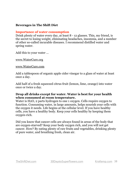## **Beverages in The Shift Diet**

#### **Importance of water consumption**

Drink plenty of water every day, at least 8 - 12 glasses. This, my friend, is the secret to losing weight, eliminating headaches, insomnia, and a number of other so-called incurable diseases. I recommend distilled water and spring water.

Add this to your water …

[www.WaterCure.org](http://www.WaterCure.org)

#### [www.WaterCure.com](http://www.WaterCure.com)

Add a tablespoon of organic apple cider vinegar to a glass of water at least once a day.

Add half of a fresh squeezed citrus fruit (lemon, lime, orange) into water once or twice a day.

#### **Drop all drinks except for water. Water is best for your health when consumed at room temperature.**

Water is H2O, 2 parts hydrogen to one 1 oxygen. Cells require oxygen to function. Consuming water, in large amounts, helps nourish your cells with the oxygen it needs. Life begins at the cellular level. If you have healthy cells, you have a healthy body. Keep your cells healthy by keeping them oxygen-rich.

Did you know that cancer cells are always found in areas of the body that are oxygen-starved? Keep your body oxygen rich, and you will not get cancer. How? By eating plenty of raw fruits and vegetables, drinking plenty of pure water, and breathing fresh, clean air.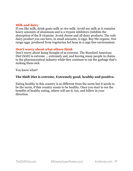## **Milk and dairy**

If you like milk, drink goats milk or rice milk. Avoid soy milk as it contains heavy amounts of aluminum and is a trypsin inhibitors (inhibits the absorption of the B vitamins. Avoid cheese and all dairy products. The only dairy product you can have, in small amounts, is eggs. Buy the organic, free range eggs, produced from vegetarian fed hens in a cage free environment.

#### **Don't worry about what others think**

Don't worry about being thought of as extreme. The Standard American Diet (SAD) is extreme ... extremely sad, and leaving many people in chains to the pharmaceutical industry while they continue to eat the garbage that's making them sick.

You know what?

## **The Shift Diet is extreme. Extremely good, healthy and positive.**

Eating healthy in this country is so different from the norm but it needs to be the norm, if this country wants to be healthy. Once you start to see the benefits of healthy eating, others will see it, too, and follow in your direction.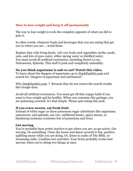## **How to lose weight and keep it off permanently**

The way to lose weight is to do the complete opposite of what you did to gain it.

In other words, whatever foods and beverages that you are eating that got you to where you are ... avoid them.

Replace that with living foods, 75% raw fruits and vegetables, herbs, seeds, nuts, and lots of pure water, either spring water or distilled water. You must avoid all artificial sweeteners, including Sweet n Low, Nutrasweet, Splenda. This stuff is junk and completely unhealthy.

#### **Do you think aspartame is safe to eat? Watch this video.**

To learn about the dangers of aspartame, go to [DuckDuckGo.com](http://DuckDuckGo.com) and search for "dangers of aspartame and nutrasweet".

Why [DuckDuckGo.com](http://DuckDuckGo.com) ? Because they do not censor the search results like Google does.

Avoid all artificial sweeteners. You must get off this crappy habit if you want to lose weight and be healthy. When you consume this garbage, you are poisoning yourself. It's that simple. Please quit eating this junk.

#### **If you crave sweets, eat fresh fruit.**

Instead of white sugar or those poisonous sugar substitutes like aspartame, nutrasweet, and splenda, use raw, unfiltered honey, agave nectar, or blackstrap molasses (contains lots of potassium and iron).

#### **Get moving**

You've probably been pretty inactive to get where you are, so get active. Get moving. Do something. Clean the house and dance around to fun, positive, uplifting music while you are doing. Or, listen to audio of The Blble, or streaming radio. Combine two activities. Your brain probably works best anyway when you're doing two things at once.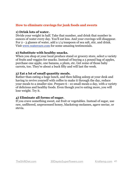## **How to eliminate cravings for junk foods and sweets**

#### **1) Drink lots of water.**

Divide your weight in half. Take that number, and drink that number in ounces of water every day. You'll eat less. And your cravings will disappear. For 2 - 3 glasses of water, add a 1/4 teaspoon of sea salt, stir, and drink. Visit [www.watercure.com](http://www.watercure.com/) for some amazing testimonials.

## **2) Substitute with healthy snacks.**

When you shop at your local produce stand or grocery store, select a variety of fruits and veggies for snacks. Instead of buying a 5 pound bag of apples, purchase one apple, one banana, a plum, etc. Get some of those baby carrots, too. They're about a buck fifty and will last the week.

## **3) Eat a lot of small quantity meals.**

Rather than eating a huge lunch, and then falling asleep at your desk and having to revive yourself with coffee to make it through the day, reduce your meals to a smaller size. Prepare 6 - 10 small meals a day, with a variety of delicious and healthy foods. Even though you're eating more, you will lose weight. Try it.

## **4) Eliminate all forms of sugar.**

If you crave something sweet, eat fruit or vegetables. Instead of sugar, use raw, unfiltered, unprocessed honey, blackstrap molasses, agave nectar, or stevia.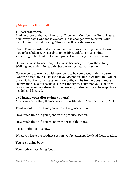## **5 Steps to better health**

#### **1) Exercise more.**

Find an exercise that you like to do. Then do it. Consistently. For at least an hour every day. Don't make excuses. Make changes for the better. Quit complaining and get moving. This also will cure depression.

Clean. Plant a garden. Wash your car. Learn how to swing dance. Learn how to breakdance. Do aerobics to positive, uplifting music. Find something to be thankful for, and praise God while you are exercising.

Do not exercise to lose weight. Exercise because you enjoy the activity. Walking and swimming are the best exercises that you can do.

Get someone to exercise with--someone to be your accountability partner. Exercise for an hour a day, even if you do not feel like it. At first, this will be difficult. But the payoff, after only a month, will be tremendous ... more energy, more positive feelings, clearer thoughts, a slimmer you. Not only does exercise relieve stress, tension, anxiety, it also helps you to keep clearheaded and focused.

#### **2) Change your diet (what you eat)**

Americans are killing themselves with the Standard American Diet (SAD).

Think about the last time you were in the grocery store.

How much time did you spend in the produce section?

How much time did you spend in the rest of the store?

Pay attention to this now.

When you leave the produce section, you're entering the dead foods section.

You are a living body.

Your body craves living foods.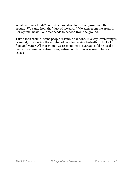What are living foods? Foods that are alive, foods that grow from the ground. We came from the "dust of the earth". We came from the ground. For optimal health, our diet needs to be food from the ground.

Take a look around. Some people resemble balloons. In a way, overeating is criminal, considering the number of people starving to death for lack of food and water. All that money we're spending to overeat could be used to feed entire families, entire tribes, entire populations overseas. There's no excuse.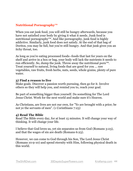## **Nutritional Pornography™**

When you eat junk food, you will still be hungry afterwards, because you have not satisfied your body by giving it what it needs. Junk food is nutritional pornography™. And like pornography, junk food is highly addictive. Similarly, junk food does not satisfy. At the end of that bag of Doritos, you may be full, but you're still hungry. And that junk gives you an itchy throat, too.

As long as you're eating processed foods--foods that last for years on the shelf and arrive in a box or bag, your body will lack the nutrients it needs to run efficiently. So, dump the junk. Throw away the nutritional porn $TM$ . Treat yourself to natural, living foods that are good for you ... raw vegetables, raw fruits, fresh herbs, nuts, seeds, whole grains, plenty of pure water.

## **3) Find a reason to live**

Make goals. Discover a passion worth pursuing, then go for it. Involve others so they will help you, and remind you to, reach your goal.

Be part of something bigger than yourself. Do something for The Lord Jesus Christ. Work for the next world and make sure it's Heaven.

As Christians, are lives are not our own, for "Ye are brought with a price; be not ye the servants of men". (1 Corinthians 7:23)

## **4) Read The Bible**

Read The Bible every day, for at least 15 minutes. It will change your way of thinking. It will change your life.

I believe that God loves us, yet sin separates us from God (Romans 3:23), and that the wages of sin are death (Romans 6:23).

However, we can come to God through his Son, The Lord Jesus Christ (Romans 10:9-10) and spend eternity with Him, following physical death in this world.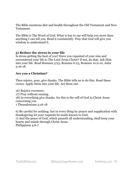The Bible mentions diet and health throughout the Old Testament and New Testament.

The Bible is The Word of God. What is has to say will help you more than anything I can tell you. Read it consistently. Pray that God will give you wisdom to understand it.

## **5) Reduce the stress in your life**

Is stress getting the best of you? Have you repented of your sins and surrendered your life to The Lord Jesus Christ? If not, do that. Ask Him into your life. Read Romans 3:23, Romans 6:23, Romans 10:9-10, John 3:16-18.

## **Are you a Christian?**

Then rejoice, pray, give thanks. The Bible tells us to do this. Read these verses. Apply them into your life. Act them out.

16) Rejoice evermore. 17) Pray without ceasing. 18) In everything give thanks: for this is the will of God in Christ Jesus concerning you. 1 Thessalonians 5:16-18

6) Be careful for nothing; but in every thing by prayer and supplication with thanksgiving let your requests be made known to God. 7) And the peace of God, which passeth all understanding, shall keep your hearts and minds through Christ Jesus. Philippians 4:6-7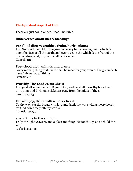## **The Spiritual Aspect of Diet**

These are just some verses. Read The Bible.

#### **Bible verses about diet & blessings**

#### **Pre-flood diet: vegetables, fruits, herbs, plants**

And God said, Behold I have give you every herb-bearing seed, which *is* upon the face of all the earth, and ever tree, in the which *is* the fruit of the tree yielding seed; to you it shall be for meat. Genesis 1:29

#### **Post-flood diet: animals and plants**

Every moving thing that liveth shall be meat for you; even as the green herb have I given you all things. Genesis 9:3

#### **Worship The Lord Jesus Christ**

And ye shall serve the LORD your God, and he shall bless thy bread, and thy water; and I will take sickness away from the midst of thee. Exodus 23:25

#### **Eat with joy, drink with a merry heart**

Go thy way, eat thy bread with joy, and drink thy wine with a merry heart; for God now accepteth thy works. Ecclesiastes 9:7

#### **Spend time in the sunlight**

Truly the light *is* sweet, and a pleasant *thing it is* for the eyes to behold the sun:

Ecclesiastes 11:7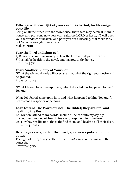## **Tithe - give at least 15% of your earnings to God, for blessings in your life**

Bring ye all the tithes into the storehouse, that there may be meat in mine house, and prove me now herewith, saith the LORD of hosts, if I will open you the windows of heaven, and pour you out a blessing, that *there shall* not *be room* enough *to receive it*. Malachi 3:10

## **Fear the Lord and shun evil**

7) Be not wise in thine own eyes: fear the Lord and depart from evil. 8) It shall be health to thy navel, and marrow to thy bones. Proverbs 3:7,8

## **Fear: Another Enemy of Your Soul**

"What the wicked dreads will overtake him; what the righteous desire will be granted." Proverbs 10:24

"What I feared has come upon me; what I dreaded has happened to me." Job 3:25

What Job feared came upon him, and what happened to him (Job 3:25). Fear is not a respector of persons.

## **Lean toward The Word of God (The Bible); they are life, and health to the flesh**

20) My son, attend to my words: incline thine ear unto my sayings. 21) Let them not depart from thine eyes; keep them in thine heart. 22) For they *are* life unto those tht find them, and health to all their flesh. Proverbs 4:20-22

#### **Bright eyes are good for the heart; good news puts fat on the bones**

The light of the eyes rejoiceth the heart: *and* a good report maketh the bones fat.

Proverbs 15:30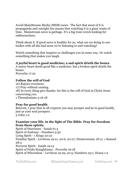Avoid MainStream Media (MSM) news. The fact that most of it is propaganda and outright lies means that watching it is a giant waste of time. Mainstream news is garbage. It's a big train wreck looking for rubberneckers.

Think about it. If good news is healthy for us, what are we doing to our bodies with all the bad news we're listening to and watching?

Watch something that inspires or challenges you in some way. Or watch something that makes you laugh.

## **A joyful heart is good medicine; a sad spirit drieth the bones**

A merry heart doeth good like a medicine: but a broken spirit drieth the bones.

Proverbs 17:22

## **Follow the will of God**

16) Rejoice evermore. 17) Pray without ceasing. 18) In every thing give thanks: for this is the will of God in Christ Jesus concerning you. 1 Thessalonians 5:16-18

#### **Pray for good health**

Beloved, I pray that in all respects you may prosper and be in good health, just as your soul prospers. 3 John 1:2

#### **Examine your life, in the light of The Bible. Pray for freedom from these spirits.**

Spirit of Heaviness - Isaiah 61:3 Spirit of Jealousy - Numbers 5:30 Lying Spirit - 1 Kings 22:22 Familiar Spirit - Leviticus 19:21, 20:6, 20:27; Deuteronomy 18:11; 1 Samuel 28:3 Perverse Spirit - Isaiah 19:14 Spirit of Pride/Haughtiness - Proverbs 16:18 Spirit of Whoredom - Leviticus 19:29, 20:5; Numbers 25:1; Hosea 1:2

[TheShiftDiet.com](http://TheShiftDiet.com) [30DaystoSuperPowers.com](http://30DaystoSuperPowers.com) [KrisKemp.com](http://KrisKemp.com) 48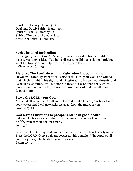Spirit of Infirmity - Luke 13:11 Deaf and Dumb Spirit - Mark 9:25 Spirit of Fear - 2 Timothy 1:7 Spirit of Bondage - Romans 8:15 Antichrist Spirit - 1 John 4:3

## **Seek The Lord for healing**

In the 39th year of King Asa's rule, he was diseased in his feet until his disease was very critical. Yet, in his disease, he did not seek the Lord, but went to physicians for help. He died two years later. 2 Chronicles 16:11-13

## **Listen to The Lord, do what is right, obey his commands**

"If you will carefully listen to the voice of the Lord your God, and will do that which is right in his sight, and will give ear to his commandments, and keep all his statutes, I will put none of these diseases upon thee, which I have brought upon the Egyptians: for I *am* the Lord that healeth thee. Exodus 15:26

## **Serve the LORD your God**

And ye shall serve the LORD your God and he shall bless your bread, and your water; and I will take sickness away from the midst of you. Exodus 23:25

## **God wants Christians to prosper and be in good health**

Beloved, I wish above all things that you may prosper and be in good health, even as your soul prospers. John 3:2

Bless the LORD, O my soul: and all that is within me, bless his holy name. Bless the LORD, O my soul, and forget not his benefits: Who forgives all your iniquities; who heals all your diseases. Psalm 103:1-3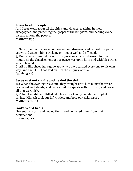#### **Jesus healed people**

And Jesus went about all the cities and villages, teaching in their synagogues, and preaching the gospel of the kingdom, and healing every disease among the people.

Matthew 9:35

4) Surely he has borne our sicknesses and diseases, and carried our pains; yet we did esteem him stricken, smitten of God and afflicted.

5) But he was wounded for our transgressions, he was bruised for our iniquities; the chastisement of our peace was upon him; and with his stripes we are healed.

6) All we like sheep have gone astray; we have turned every one to his own way, and the LORD has laid on him the iniquity of us all. Isaiah 53:4-6

#### **Jesus cast out spirits and healed the sick**

16) When the evening was come, they brought unto him many that were possessed with devils; and he cast out the spirits with his word, and healed all that were sick.

17) That it might be fulfilled which was spoken by Isaiah the prophet saying, 'Himself took our infirmities, and bore our sicknesses'. Matthew 8:16-17

#### **God's Word heals**

He sent his word, and healed them, and delivered them from their destructions.

Psalm 107:20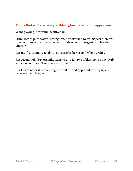## **Foods that will give you youthful, glowing skin and appearance**

Want glowing, beautiful, healthy skin?

Drink lots of pure water - spring water or distilled water. Squeeze lemon, lime, or orange into the water. Add a tablespoon of organic apple cider vinegar.

Eat raw fruits and vegetables, nuts, seeds, herbs, and whole grains.

Eat coconut oil. Buy organic, extra virgin. Eat two tablespoons a day. Rub some on your face. This cures acne, too.

For lots of natural cures using coconut oil and apple cider vinegar, visit [www.earthclinic.com](http://www.earthclinic.com/).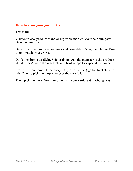#### **How to grow your garden free**

This is fun.

Visit your local produce stand or vegetable market. Visit their dumpster. Dive the dumpster.

Dig around the dumpster for fruits and vegetables. Bring them home. Bury them. Watch what grows.

Don't like dumpster diving? No problem. Ask the manager of the produce stand if they'll save the vegetable and fruit scraps to a special container.

Provide the container if necessary. Or provide some 5-gallon buckets with lids. Offer to pick them up whenever they are full.

Then, pick them up. Bury the contents in your yard. Watch what grows.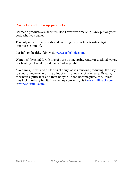## **Cosmetic and makeup products**

Cosmetic products are harmful. Don't ever wear makeup. Only put on your body what you can eat.

The only moisturizer you should be using for your face is extra virgin, organic coconut oil.

For info on healthy skin, visit [www.earthclinic.com](http://www.earthclinic.com/).

Want healthy skin? Drink lots of pure water, spring water or distilled water. For healthy, clear skin, eat fruits and vegetables.

Avoid milk, meat, and all forms of dairy, as it's mucous producing. It's easy to spot someone who drinks a lot of milk or eats a lot of cheese. Usually, they have a puffy face and their body will soon become puffy, too, unless they kick the dairy habit. If you enjoy your milk, visit [www.milksucks.com](http://www.milksucks.com/) or [www.notmilk.com.](http://www.notmilk.com/)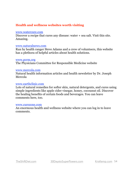## **Health and wellness websites worth visiting**

#### [www.watercure.com](http://www.watercure.com/)

Discover a recipe that cures any disease: water + sea salt. Visit this site. Amazing.

#### [www.naturalnews.com](http://www.naturalnews.com/)

Run by health ranger Steve Adams and a crew of volunteers, this website has a plethora of helpful articles about health solutions.

#### [www.pcrm.org](https://www.pcrm.org/)

The Physicians Committee for Responsible Medicine website

#### [www.mercola.com](http://www.mercola.com/)

Natural health information articles and health newsletter by Dr. Joseph Mercola

#### [www.earthclinic.com](http://www.earthclinic.com/)

Lots of natural remedies for softer skin, natural detergents, and cures using simple ingredients like apple cider vinegar, honey, cocounut oil. Discover the healing benefits of certain foods and beverages. You can leave comments here, too.

#### [www.curezone.com](http://www.curezone.com/)

An enormous health and wellness website where you can log in to leave comments.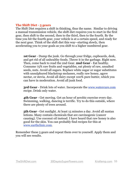## **The Shift Diet - 5 gears**

The Shift Diet requires a shift in thinking, thus the name. Similar to driving a manual transmission vehicle, the shift diet requires you to start in the first gear, then shift to the second, then to the third, then to the fourth. By the time you hit the fourth gear, your vehicle is at a certain speed, and ready for the next gear. Think of the shift diet this way--starting slowly, then accelerating you to your goals as you shift to a higher numbered gear.

 **1st Gear** - Dump the junk. Go through your fridge, cupboards, desk, and get rid of all unhealthy foods. Throw it in the garbage. Right now. Then, come back to read the 2nd Gear. **2nd Gear** - Eat healthy. Consume 75% raw fruits and vegetables, eat plenty of raw, unsalted seeds, nuts. Avoid all sugars. Replace white sugar or sugar substitutes with unsulphured blackstrap molasses, really raw honey, agave nectar, or stevia. Avoid all dairy except 100% pure butter, which you can have in moderation. Avoid all junk food.

 **3rd Gear** - Drink lots of water. Incorporate the [www.watercure.com](http://www.watercure.com/) recipe. Drink only water.

 **4th Gear** - Get moving. Get an hour of aerobic exercise every day. Swimming, walking, dancing is terrific. Try to do this outside, where there are plenty of trees around.

 **5th Gear** - Get sunlight. At least 15 minutes a day. Avoid all suntan lotions. Many contain chemicals that are carcinogenic (cancer causing). Use coconut oil instead. I have heard that raw honey is also good for the skin. You can probably find recipes for this at [www.earthclinic.com](http://www.earthclinic.com/).

Remember these 5 gears and repeat them over to yourself. Apply them and you will see results.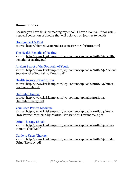## **Bonus Ebooks**

Because you have finished reading my ebook, I have a Bonus Gift for you ... a special collection of ebooks that will help you on journey to health

[How you Rot & Rust](http://biomedx.com/microscopes/rrintro/rrintro.html) source:<http://biomedx.com/microscopes/rrintro/rrintro.html>

[The Health Benefits of Fasting](http://www.kriskemp.com/wp-content/uploads/2018/04/health-benefits-of-fasting.pdf) [source: http://www.kriskemp.com/wp-content/uploads/2018/04/health](http://www.kriskemp.com/wp-content/uploads/2018/04/health-benefits-of-fasting.pdf)benefits-of-fasting.pdf

#### [Ancient Secret of the Fountain of Youth](http://www.kriskemp.com/wp-content/uploads/2018/04/Ancient-Secret-of-the-Fountain-of-Youth.pdf)

[source: http://www.kriskemp.com/wp-content/uploads/2018/04/Ancient-](http://www.kriskemp.com/wp-content/uploads/2018/04/Ancient-Secret-of-the-Fountain-of-Youth.pdf)Secret-of-the-Fountain-of-Youth.pdf

#### [Health Secrets of the Hunzas](http://www.kriskemp.com/wp-content/uploads/2018/04/hunza-health-secrets.pdf)

[source: http://www.kriskemp.com/wp-content/uploads/2018/04/hunza](http://www.kriskemp.com/wp-content/uploads/2018/04/hunza-health-secrets.pdf)health-secrets.pdf

[Unlimited Energy](http://www.kriskemp.com/wp-content/uploads/2018/04/UnlimitedEnergy.pdf)

[source: http://www.kriskemp.com/wp-content/uploads/2018/04/](http://www.kriskemp.com/wp-content/uploads/2018/04/UnlimitedEnergy.pdf) UnlimitedEnergy.pdf

[Your Own Perfect Medicine](http://www.kriskemp.com/wp-content/uploads/2018/04/Your-Own-Perfect-Medicine-by-Martha-Christy-with-Testimonials.pdf)

[source: http://www.kriskemp.com/wp-content/uploads/2018/04/Your-](http://www.kriskemp.com/wp-content/uploads/2018/04/Your-Own-Perfect-Medicine-by-Martha-Christy-with-Testimonials.pdf)Own-Perfect-Medicine-by-Martha-Christy-with-Testimonials.pdf

#### [Urine Therapy Ebook](http://www.kriskemp.com/wp-content/uploads/2018/04/urine-therapy-ebook.pdf)

[source: http://www.kriskemp.com/wp-content/uploads/2018/04/urine](http://www.kriskemp.com/wp-content/uploads/2018/04/urine-therapy-ebook.pdf)therapy-ebook.pdf

#### [Guide to Urine Therapy](http://www.kriskemp.com/wp-content/uploads/2018/04/Guide-Urine-Therapy.pdf)

[source: http://www.kriskemp.com/wp-content/uploads/2018/04/Guide-](http://www.kriskemp.com/wp-content/uploads/2018/04/Guide-Urine-Therapy.pdf)Urine-Therapy.pdf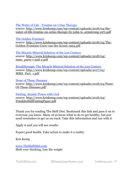#### [The Water of Life - Treatise on Urine Therapy](http://www.kriskemp.com/wp-content/uploads/2018/04/the-water-of-life-treatise-on-urine-therapy-by-john-w.-armstrong-1971.pdf)

source: http://www.kriskemp.com/wp-content/uploads/2018/04/the[water-of-life-treatise-on-urine-therapy-by-john-w.-armstrong-1971.pdf](http://www.kriskemp.com/wp-content/uploads/2018/04/the-water-of-life-treatise-on-urine-therapy-by-john-w.-armstrong-1971.pdf)

#### [The Golden Fountain](http://www.kriskemp.com/wp-content/uploads/2018/04/The-Golden-Fountain-Coen-van-der-kroon-1994.pdf)

[source: http://www.kriskemp.com/wp-content/uploads/2018/04/The-](http://www.kriskemp.com/wp-content/uploads/2018/04/The-Golden-Fountain-Coen-van-der-kroon-1994.pdf)Golden-Fountain-Coen-van-der-kroon-1994.pdf

#### [The Miracle Mineral Solution of the 21st Century](http://www.kriskemp.com/wp-content/uploads/2018/04/mms_parts-1-and-2.pdf) [source: http://www.kriskemp.com/wp-content/uploads/2018/04/](http://www.kriskemp.com/wp-content/uploads/2018/04/mms_parts-1-and-2.pdf) mms parts-1-and-2.pdf

[Breakthrough: The Miracle Mineral Solution of the 21st Century](http://www.kriskemp.com/wp-content/uploads/2017/05/MMS_Part_1.pdf) [source: http://www.kriskemp.com/wp-content/uploads/2017/05/](http://www.kriskemp.com/wp-content/uploads/2017/05/MMS_Part_1.pdf) MMS\_Part\_1.pdf

#### [None of These Diseases](http://www.kriskemp.com/wp-content/uploads/2018/04/None-Of-These-Diseases.pdf)

[source: http://www.kriskemp.com/wp-content/uploads/2018/04/None-](http://www.kriskemp.com/wp-content/uploads/2018/04/None-Of-These-Diseases.pdf)Of-These-Diseases.pdf

#### [Fasting: Atomic Power with God](http://www.kriskemp.com/wp-content/uploads/2018/04/FranklinHallFastingPaper.pdf)

[source: http://www.kriskemp.com/wp-content/uploads/2018/04/](http://www.kriskemp.com/wp-content/uploads/2018/04/FranklinHallFastingPaper.pdf) FranklinHallFastingPaper.pdf

Thank you for reading The Shift Diet. Bookmark this link and pass it on to everyone you know. Many of us know what to do to get healthy, but just need reminders to get us on track. Take this information and run with it.

Apply it and you will see results.

Expect good health. Take action to make it a reality.

Kris Kemp

[www.TheShiftDiet.com](http://www.theshiftdiet.com/) Shift your thinking, lose the weight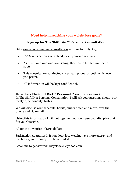## **Need help in reaching your weight loss goals?**

## **Sign up for The Shift Diet™ Personal Consultation**

Get a <u>one on one personal consultation</u> with me for only \$197.

- 100% satisfaction guaranteed, or all your money back.
- As this is one-one-one counseling, there are a limited number of spots.
- This consultation conducted via e-mail, phone, or both, whichever you prefer.
- All information will be kept confidential.

## **How does The Shift Diet™ Personal Consultation work?**

In The Shift Diet Personal Consultation, I will ask you questions about your lifestyle, personality, tastes.

We will discuss your schedule, habits, current diet, and more, over the phone and via e-mail.

Using this information I will put together your own personal diet plan that fits your lifestyle.

All for the low price of \$197 dollars.

Satisfaction guaranteed: If you don't lose weight, have more energy, and feel better, your money will be refunded.

Email me to get started: [bicycledays@yahoo.com](mailto:bicycledays@yahoo.com)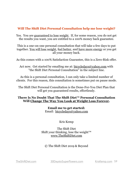## **Will The Shift Diet Personal Consultation help me lose weight?**

Yes. You are guaranteed to lose weight. If, for some reason, you do not get the results you want, you are entitled to a 100% money back guarantee.

This is a one-on-one personal consultation that will take a few days to put together. You will lose weight, feel better, and have more energy or you get all your money back.

As this comes with a 100% Satisfaction Guarantee, this is a Zero-Risk offer.

Act now. Get started by emailing me at: [bicycledays@yahoo.com](mailto:bicycledays@yahoo.com) with "the Shift Diet Personal Consultation" in the subject line.

As this is a personal consultation, I can only take a limited number of clients. For this reason, this consultation is sometimes put on pause mode.

The Shift Diet Personal Consultation is the Done-For-You Diet Plan that will get you guaranteed results, effortlessly.

## **There Is No Doubt That The Shift Diet™ Personal Consultation Will Change The Way You Look at Weight Loss Forever.**

**Email me to get started:**  Email: [bicycledays@yahoo.com](mailto:bicycledays@yahoo.com)

## Kris Kemp

#### The Shift Diet Shift your thinking, lose the weight $T^M$ [www.TheShiftDiet.com](http://www.TheShiftDiet.com)

© The Shift Diet 2019 & Beyond

[TheShiftDiet.com](http://TheShiftDiet.com) [30DaystoSuperPowers.com](http://30DaystoSuperPowers.com) [KrisKemp.com](http://KrisKemp.com) 59